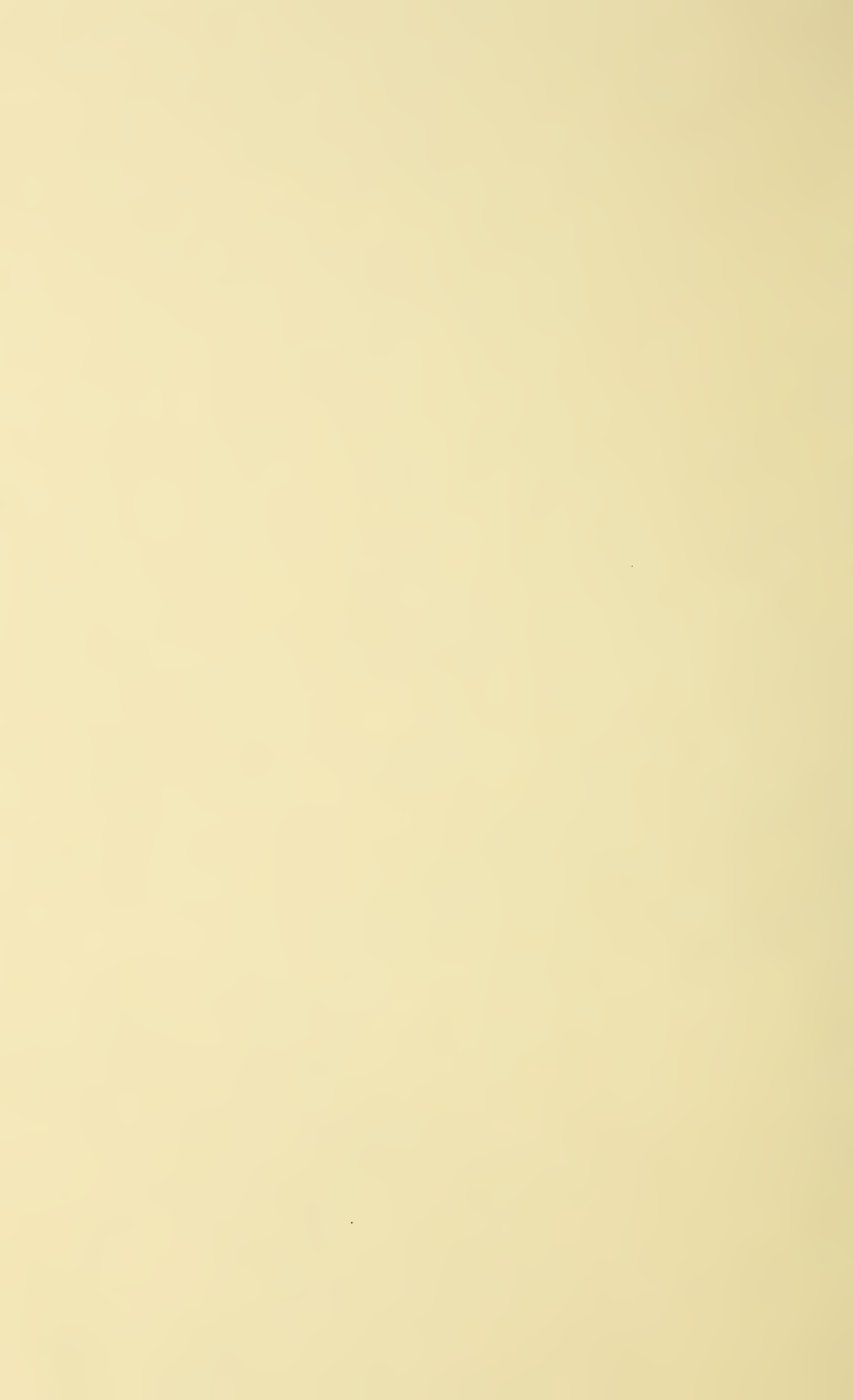$\mathcal{L}(\mathcal{A}) \to \mathcal{L}(\mathcal{A})$  .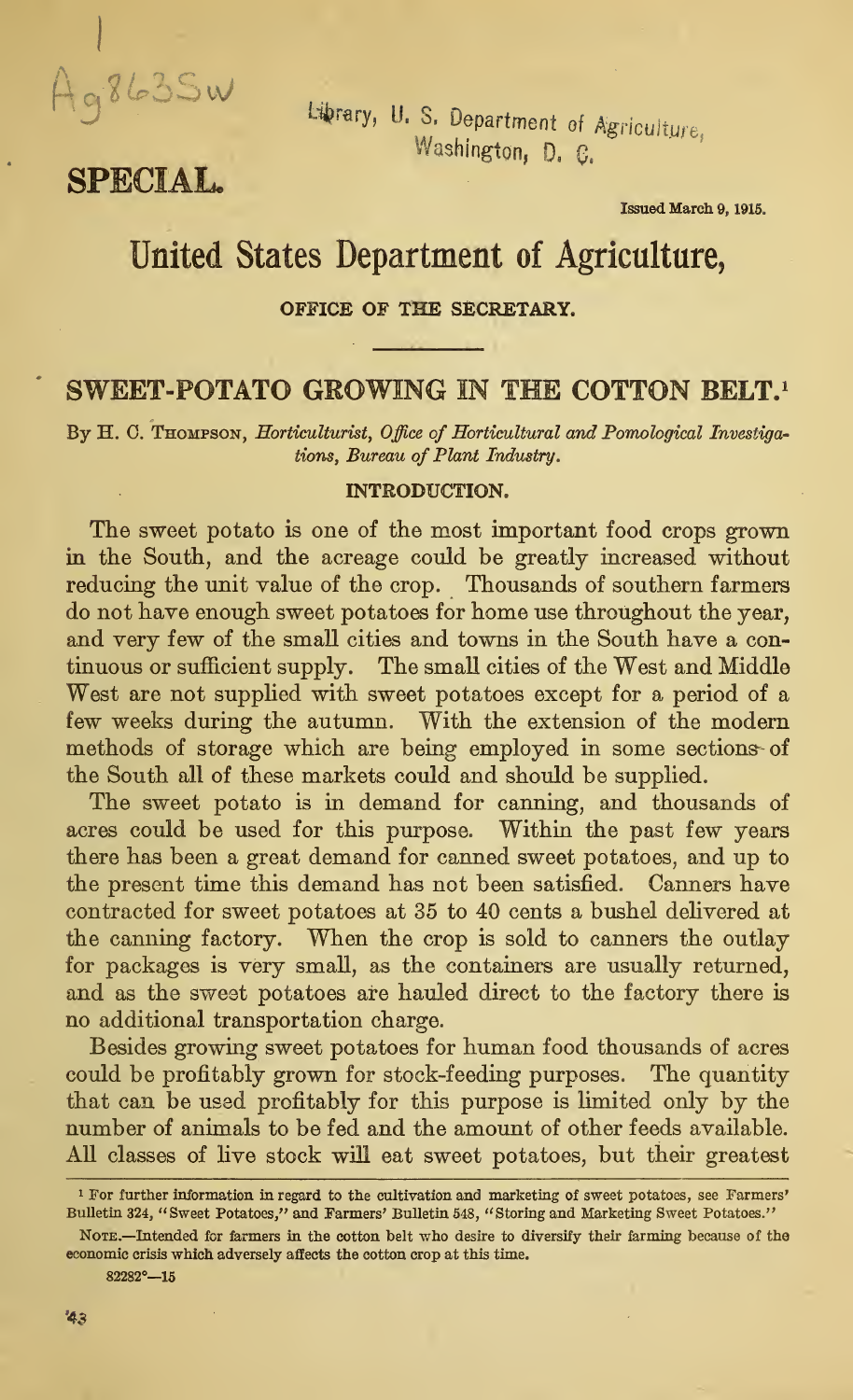# $Ag863Sw$

 $\mathbf{I}$ 

Library, U. S. Department of Agriculture, Washington, D. C.

SPECIAL.

Issued March 9, 1915.

# United States Department of Agriculture,

# OFFICE OF THE SECRETARY.

# SWEET-POTATO GROWING IN THE COTTON BELT. 1

By H. C. Thompson, Horticulturist, Office of Horticultural and Pomological Investigations, Bureau of Plant Industry.

# INTRODUCTION.

The sweet potato is one of the most important food crops grown in the South, and the acreage could be greatly increased without reducing the unit value of the crop. Thousands of southern farmers do not have enough sweet potatoes for home use throughout the year, and very few of the small cities and towns in the South have a continuous or sufficient supply. The small cities of the West and Middle West are not supplied with sweet potatoes except for a period of a few weeks during the autumn. With the extension of the modern methods of storage which are being employed in some sections of the South all of these markets could and should be supplied.

The sweet potato is in demand for canning, and thousands of acres could be used for this purpose. Within the past few years there has been a great demand for canned sweet potatoes, and up to the present time this demand has not been satisfied. Canners have contracted for sweet potatoes at 35 to 40 cents a bushel delivered at the canning factory. When the crop is sold to canners the outlay for packages is very small, as the containers are usually returned, and as the sweet potatoes are hauled direct to the factory there is no additional transportation charge.

Besides growing sweet potatoes for human food thousands of acres could be profitably grown for stock-feeding purposes. The quantity that can be used profitably for this purpose is limited only by the number of animals to be fed and the amount of other feeds available. All classes of live stock will eat sweet potatoes, but their greatest

82282°—15

<sup>&</sup>lt;sup>1</sup> For further information in regard to the cultivation and marketing of sweet potatoes, see Farmers' Bulletin 324, "Sweet Potatoes," and Farmers' Bulletin 548, "Storing and Marketing Sweet Potatoes."

Note.— ntended for farmers in the cotton belt who desire to diversify their farming because of the economic crisis which adversely affects the cotton crop at this time.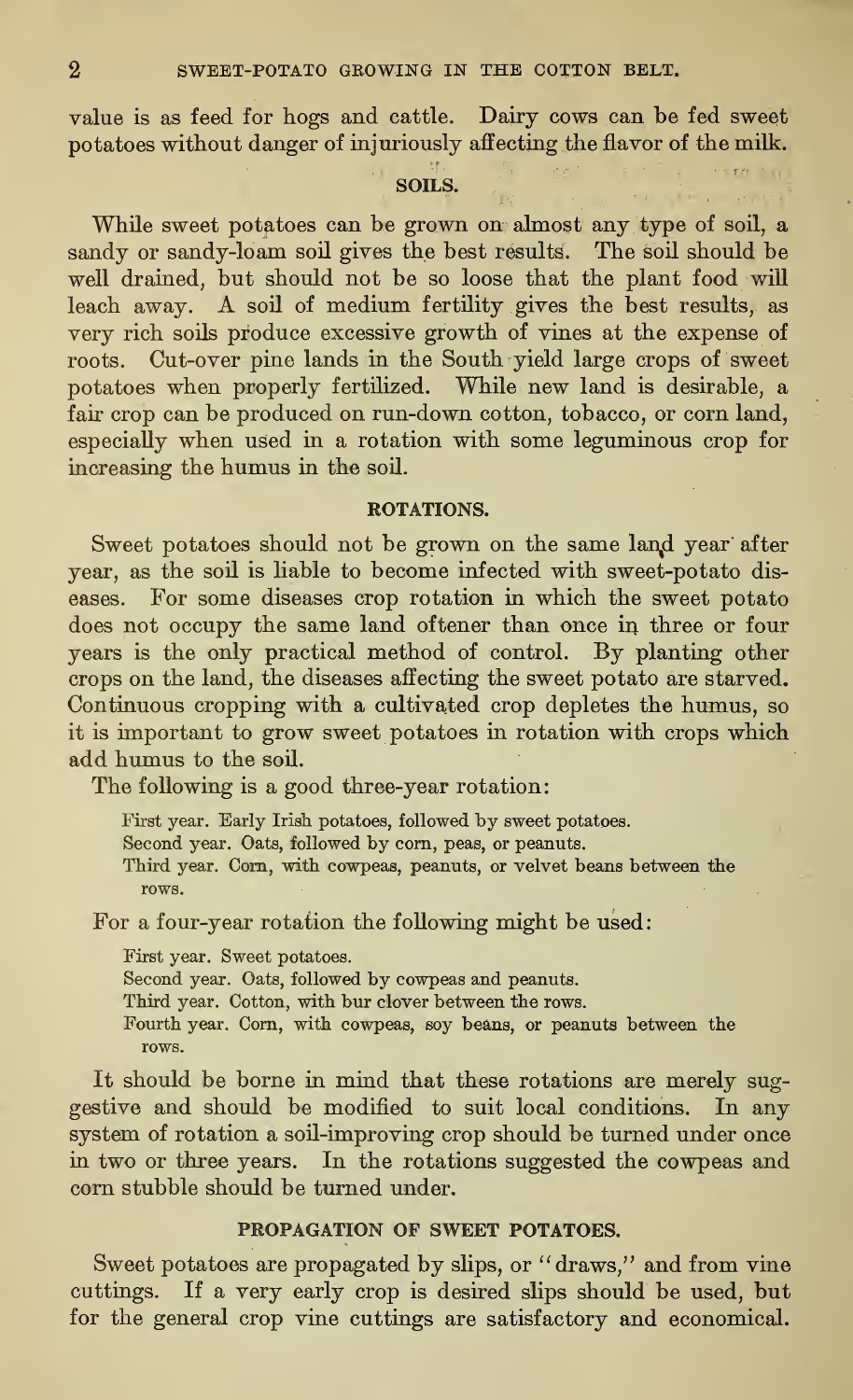value is as feed for hogs and cattle. Dairy cows can be fed sweet potatoes without danger of injuriously affecting the flavor of the milk.

#### SOILS,

While sweet potatoes can he grown on almost any type of soil, a sandy or sandy-loam soil gives the best results. The soil should be well drained, but should not be so loose that the plant food will leach away. A soil of medium fertility gives the best results, as very rich soils produce excessive growth of vines at the expense of roots. Cut-over pine lands in the South yield large crops of sweet potatoes when properly fertilized. While new land is desirable, a fair crop can be produced on run-down cotton, tobacco, or corn land, especially when used in a rotation with some leguminous crop for increasing the humus in the soil.

# ROTATIONS.

Sweet potatoes should not be grown on the same land year after year, as the soil is liable to become infected with sweet-potato dis eases. For some diseases crop rotation in which the sweet potato does not occupy the same land oftener than once in three or four years is the only practical method of control. By planting other crops on the land, the diseases affecting the sweet potato are starved. Continuous cropping with a cultivated crop depletes the humus, so it is important to grow sweet potatoes in rotation with crops which add humus to the soil.

The following is a good three-year rotation:

First year. Early Irish potatoes, followed by sweet potatoes. Second year. Oats, followed by com, peas, or peanuts. Third year. Com, with cowpeas, peanuts, or velvet beans between the rows.

For a four-year rotation the following might be used:

First year. Sweet potatoes. Second year. Oats, followed by cowpeas and peanuts. Third year. Cotton, with bur clover between the rows. Fourth year. Com, with cowpeas, soy beans, or peanuts between the rows.

It should be borne in mind that these rotations are merely suggestive and should be modified to suit local conditions. In any system of rotation a soil-improving crop should be turned under once in two or three years. In the rotations suggested the cowpeas and corn stubble should be turned under.

# PROPAGATION OF SWEET POTATOES.

Sweet potatoes are propagated by slips, or ''draws,'' and from vine cuttings. If a very early crop is desired slips should be used, but for the general crop vine cuttings are satisfactory and economical.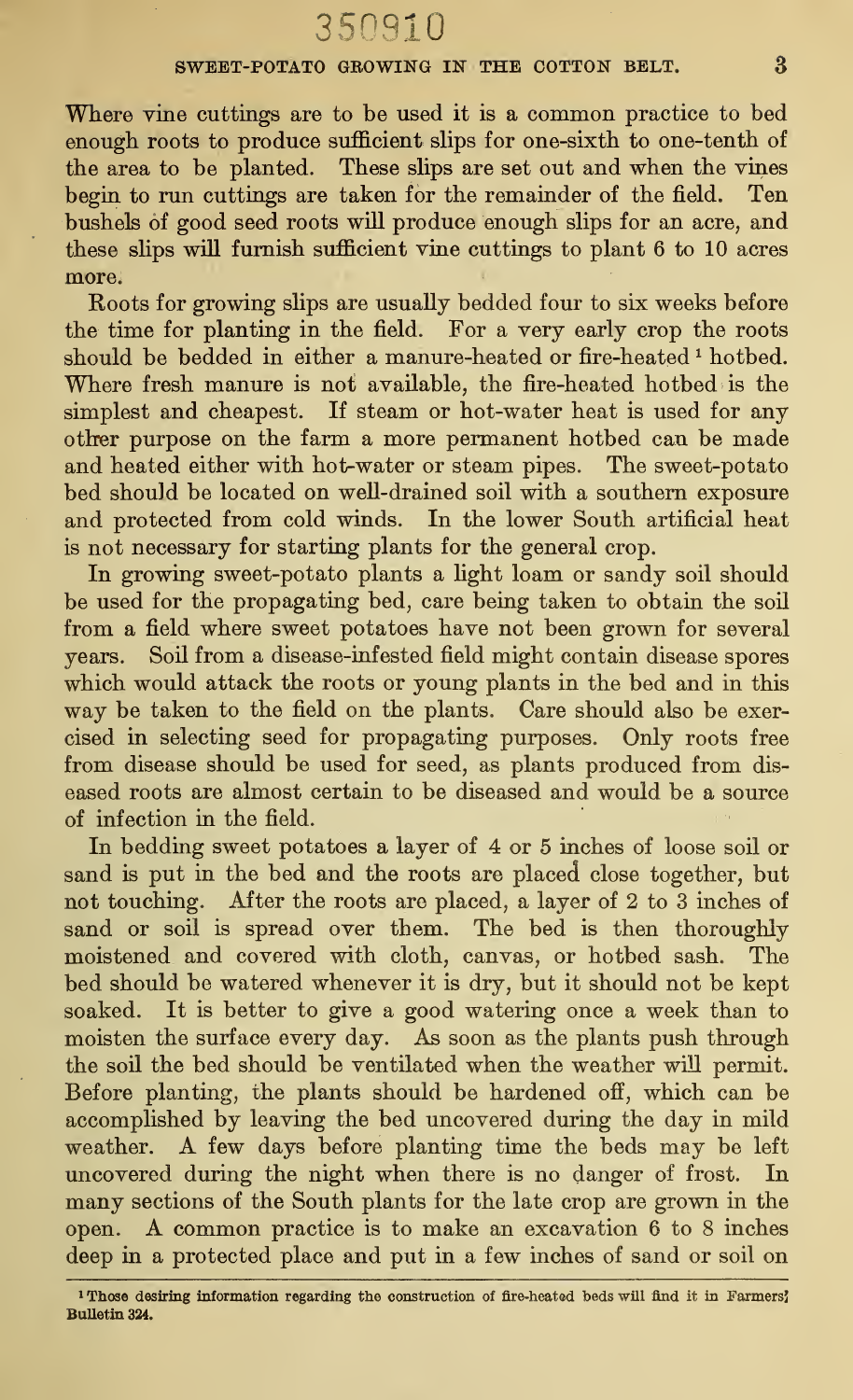# SWEET-POTATO GROWING IN THE COTTON BELT. 3

Where vine cuttings are to be used it is a common practice to bed enough roots to produce sufficient slips for one-sixth to one-tenth of the area to be planted. These slips are set out and when the vines begin to run cuttings are taken for the remainder of the field. Ten bushels of good seed roots will produce enough slips for an acre, and these slips will furnish sufficient vine cuttings to plant 6 to 10 acres more.

Roots for growing slips are usually bedded four to six weeks before the time for planting in the field. For a very early crop the roots should be bedded in either a manure-heated or fire-heated<sup>1</sup> hotbed. Where fresh manure is not available, the fire-heated hotbed is the <sup>s</sup>implest and cheapest. If steam or hot-water heat is used for any other purpose on the farm a more permanent hotbed can be made and heated either with hot-water or steam pipes. The sweet-potato bed should be located on well-drained soil with a southern exposure and protected from cold winds. In the lower South artificial heat is not necessary for starting plants for the general crop.

In growing sweet-potato plants a light loam or sandy soil should be used for the propagating bed, care being taken to obtain the soil from a field where sweet potatoes have not been grown for several years. Soil from a disease-infested field might contain disease spores which would attack the roots or young plants in the bed and in this way be taken to the field on the plants. Care should also be exercised in selecting seed for propagating purposes. Only roots free from disease should be used for seed, as plants produced from dis eased roots are almost certain to be diseased and would be a source of infection in the field.

In bedding sweet potatoes a layer of 4 or 5 inches of loose soil or sand is put in the bed and the roots are placed close together, but not touching. After the roots are placed, a layer of 2 to 3 inches of sand or soil is spread over them. The bed is then thoroughly moistened and covered with cloth, canvas, or hotbed sash. The bed should be watered whenever it is dry, but it should not be kept soaked. It is better to give a good watering once a week than to moisten the surface every day. As soon as the plants push through the soil the bed should be ventilated when the weather will permit. Before planting, the plants should be hardened off, which can be accomplished by leaving the bed uncovered during the day in mild weather. A few days before planting time the beds may be left uncovered during the night when there is no danger of frost. In many sections of the South plants for the late crop are grown in the open. A common practice is to make an excavation <sup>6</sup> to <sup>8</sup> inches deep in a protected place and put in a few inches of sand or soil on

<sup>&</sup>lt;sup>1</sup> Those desiring information regarding the construction of fire-heated beds will find it in Farmers' Bulletin 324.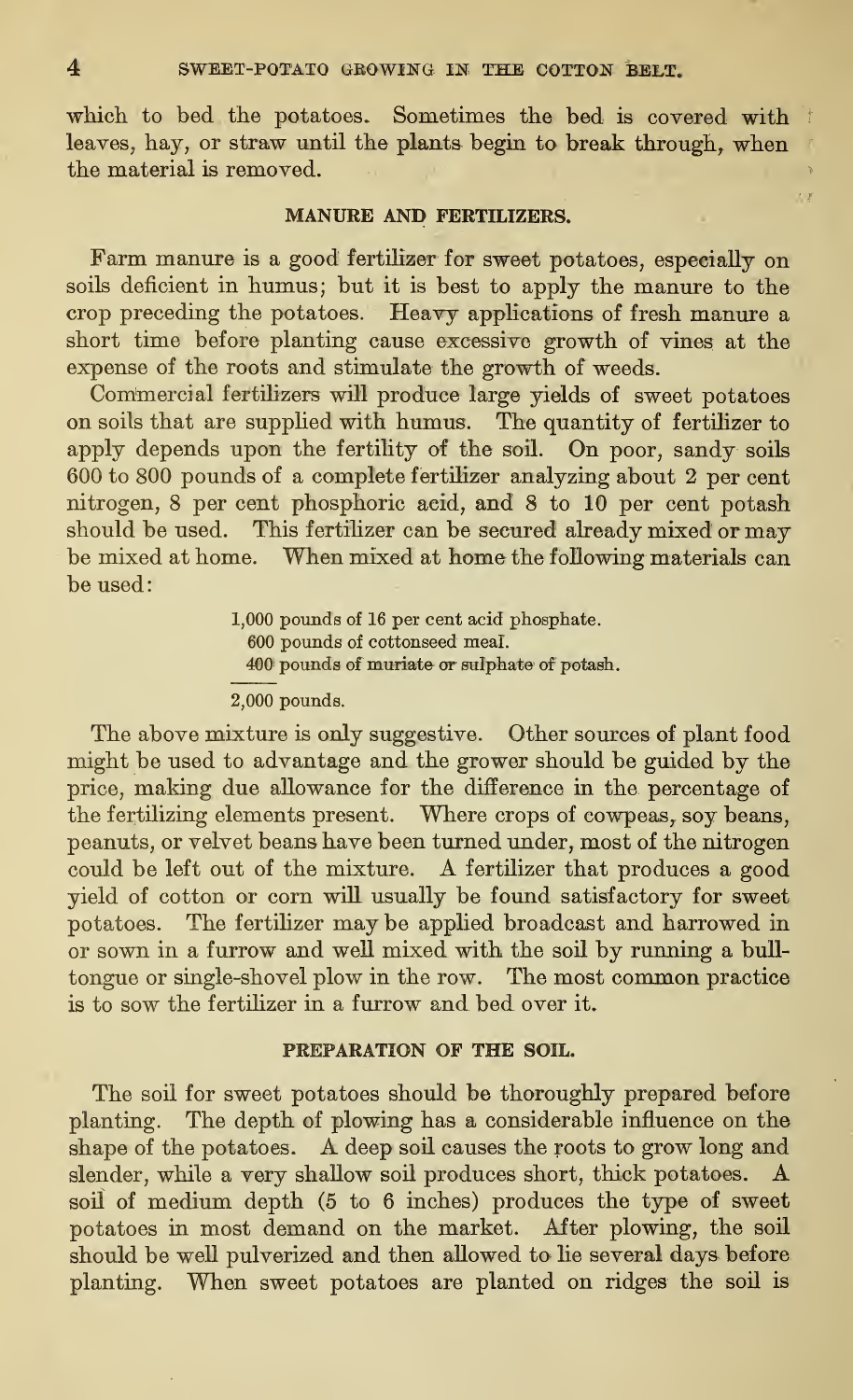which to bed the potatoes. Sometimes the bed is covered with leaves, hay, or straw until the plants begin to break through, when the material is removed.

#### MANURE AND FERTILIZERS.

 $\epsilon$   $\bar{F}$ 

Farm manure is a good fertilizer for sweet potatoes, especially on soils deficient in humus; but it is best to apply the manure to the crop preceding the potatoes. Heavy applications of fresh manure a short time before planting cause excessive growth of vines at the expense of the roots and stimulate the growth of weeds.

Commercial fertilizers will produce large yields of sweet potatoes on soils that are supplied with humus. The quantity of fertilizer to apply depends upon the fertility of the soil. On poor, sandy soils 600 to 800 pounds of a complete fertilizer analyzing about 2 per cent nitrogen, 8 per cent phosphoric aeid, and 8 to 10 per cent potash should be used. This fertilizer can be secured already mixed or may be mixed at home. When mixed at home the following materials can be used:

> 1.000 pounds of 16 per cent acid phosphate. 600 pounds of cottonseed meal. 400 pounds of muriate or sulphate of potash. 2.000 pounds.

The above mixture is only suggestive. Other sources of plant food might be used to advantage and the grower should be guided by the price, making due allowance for the difference in the percentage of the fertilizing elements present. Where crops of cowpeas, soy beans, peanuts, or velvet beans have been turned under, most of the nitrogen could be left out of the mixture. A fertilizer that produces <sup>a</sup> good yield of cotton or corn will usually be found satisfactory for sweet potatoes. The fertilizer may be applied broadcast and harrowed in or sown in a furrow and well mixed with the soil by running a bulltongue or single-shovel plow in the row. The most common practice is to sow the fertilizer in a furrow and bed over it.

# PREPARATION OF THE SOIL.

The soil for sweet potatoes should be thoroughly prepared before planting. The depth of plowing has a considerable influence on the shape of the potatoes. A deep soil causes the roots to grow long and slender, while <sup>a</sup> very shallow soil produces short, thick potatoes. A soil of medium depth (5 to 6 inches) produces the type of sweet potatoes in most demand on the market. After plowing, the soil should be well pulverized and then allowed to lie several days before planting. When sweet potatoes are planted on ridges the soil is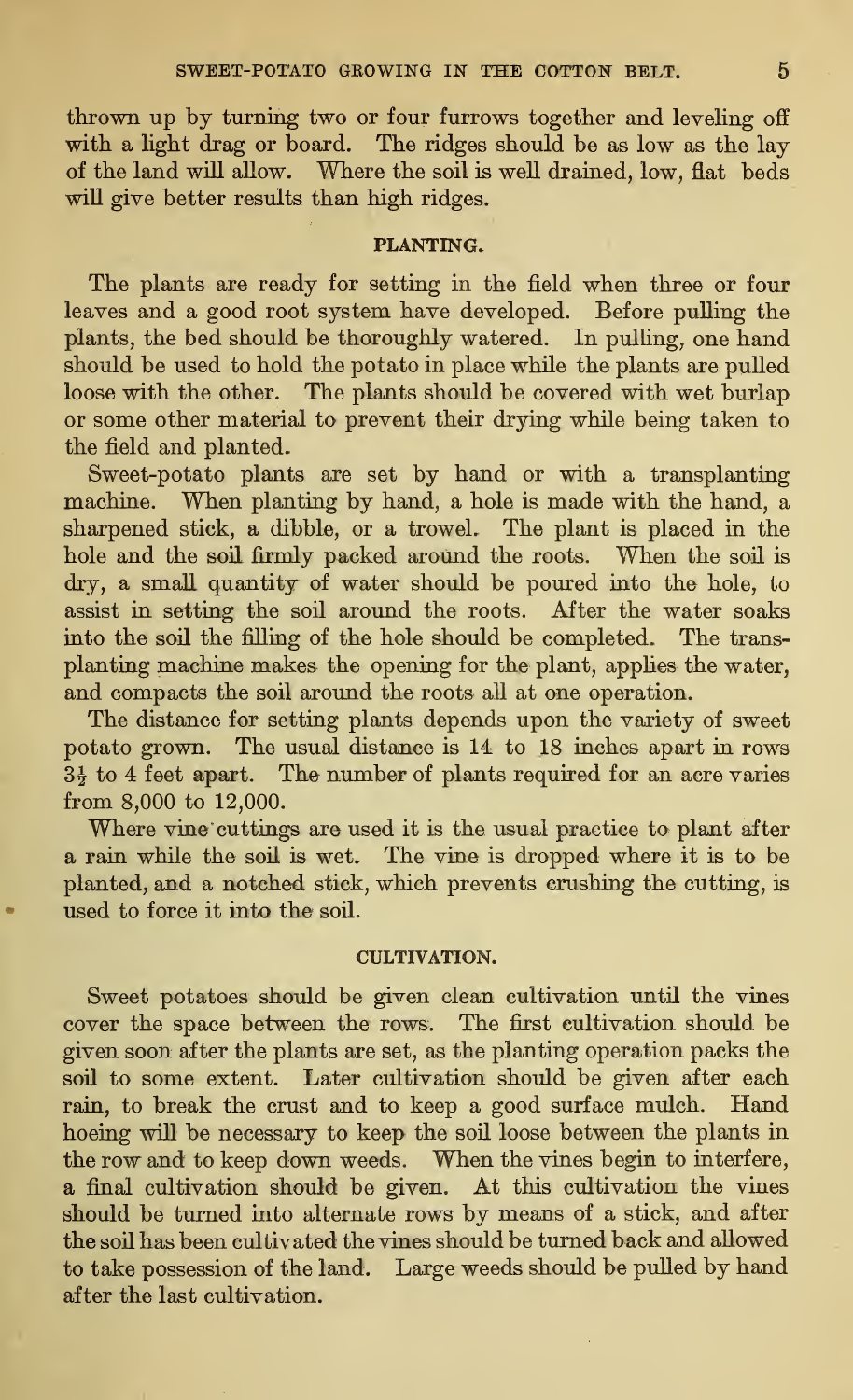thrown up by turning two or four furrows together and leveling off with a light drag or board. The ridges should be as low as the lay of the land will allow. Where the soil is well drained, low, flat beds will give better results than high ridges.

# PLANTING.

The plants are ready for setting in the field when three or four leaves and a good root system have developed. Before pulling the plants, the bed should be thoroughly watered. In pulling, one hand should be used to hold the potato in place while the plants are pulled loose with the other. The plants should be covered with wet burlap or some other material to prevent their drying while being taken to the field and planted.

Sweet-potato plants are set by hand or with a transplanting machine. When planting by hand, a hole is made with the hand, <sup>a</sup> sharpened stick, a dibble, or a trowel. The plant is placed in the hole and the soil firmly packed around the roots. When the soil is dry, a small quantity of water should be poured into the hole, to assist in setting the soil around the roots. After the water soaks into the soil the filling of the hole should be completed. The trans planting machine makes the opening for the plant, applies the water, and compacts the soil around the roots all at one operation.

The distance for setting plants depends upon the variety of sweet potato grown. The usual distance is 14 to 18 inches apart in rows  $3\frac{1}{2}$  to 4 feet apart. The number of plants required for an acre varies from 8,000 to 12,000.

Where vine cuttings are used it is the usual practice to plant after a rain while the soil is wet. The vine is dropped where it is to be planted, and a notched stick, which prevents crushing the cutting, is used to force it into the soil.

# CULTIVATION.

Sweet potatoes should be given clean cultivation until the vines cover the space between the rows. The first cultivation should be given soon after the plants are set, as the planting operation packs the soil to some extent. Later cultivation should be given after each rain, to break the crust and to keep a good surface mulch. Hand hoeing will be necessary to keep the soil loose between the plants in the row and to keep down weeds. When the vines begin to interfere, a final cultivation should be given. At this cultivation the vines should be turned into alternate rows by means of a stick, and after the soil has been cultivated the vines should be turned back and allowed to take possession of the land. Large weeds should be pulled by hand after the last cultivation.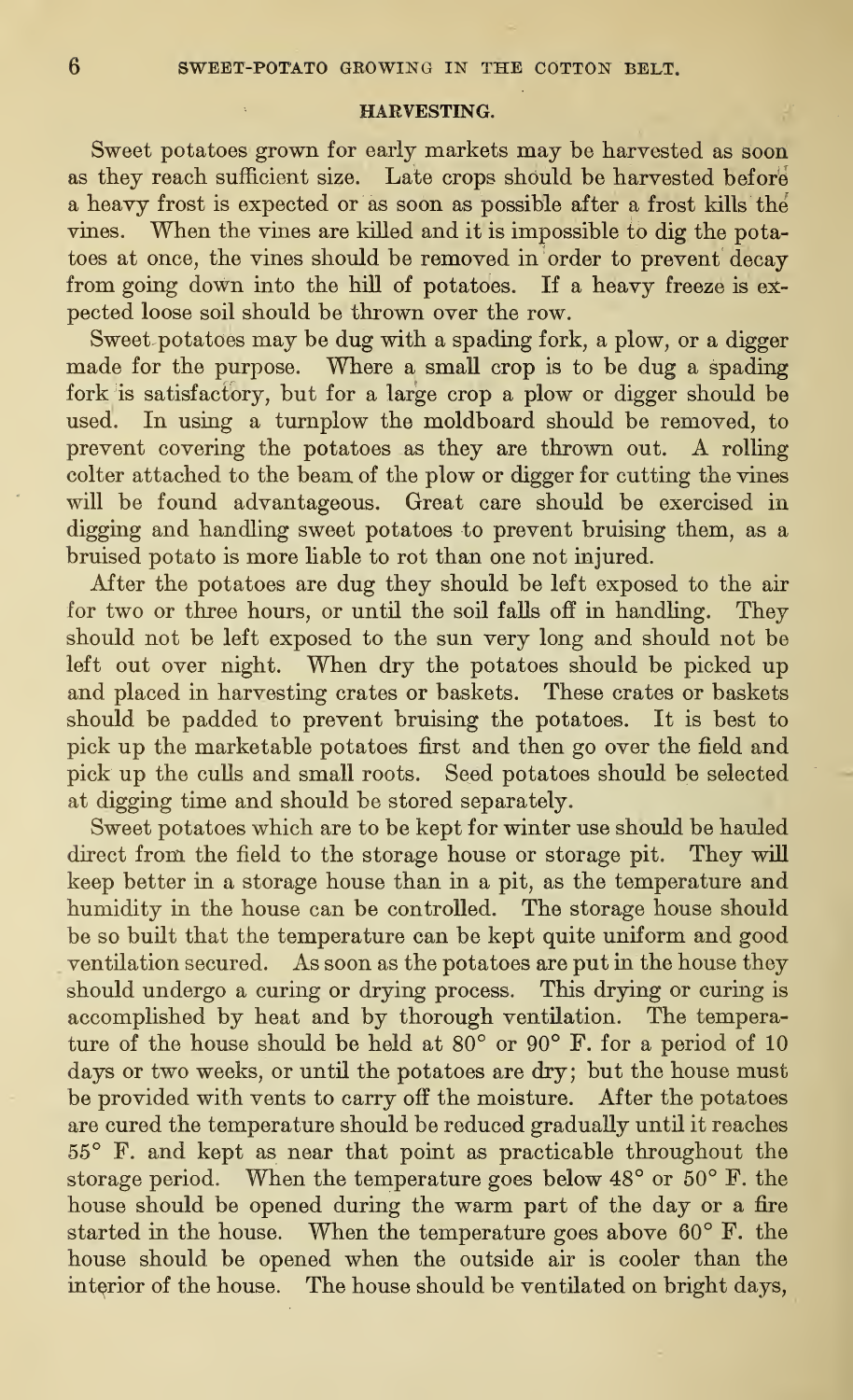#### HARVESTING.

Sweet potatoes grown for early markets may be harvested as soon as they reach sufficient size. Late crops should be harvested before a heavy frost is expected or as soon as possible after a frost kills the vines. When the vines are killed and it is impossible to dig the potatoes at once, the vines should be removed in order to prevent decay from going down into the hill of potatoes. If a heavy freeze is ex pected loose soil should be thrown over the row.

Sweet potatoes may be dug with a spading fork, <sup>a</sup> plow, or a digger made for the purpose. Where a small crop is to be dug a spading fork is satisfactory, but for a large crop a plow or digger should be used. In using a turnplow the moldboard should be removed, to prevent covering the potatoes as they are thrown out. A rolling colter attached to the beam of the plow or digger for cutting the vines will be found advantageous. Great care should be exercised in digging and handling sweet potatoes to prevent bruising them, as a bruised potato is more liable to rot than one not injured.

After the potatoes are dug they should be left exposed to the air for two or three hours, or until the soil falls off in handling. They should not be left exposed to the sun very long and should not be left out over night. When dry the potatoes should be picked up and placed in harvesting crates or baskets. These crates or baskets should be padded to prevent bruising the potatoes. It is best to pick up the marketable potatoes first and then go over the field and pick up the culls and small roots. Seed potatoes should be selected at digging time and should be stored separately.

Sweet potatoes which are to be kept for winter use should be hauled direct from the field to the storage house or storage pit. They will keep better in a storage house than in a pit, as the temperature and humidity in the house can be controlled. The storage house should be so built that the temperature can be kept quite uniform and good ventilation secured. As soon as the potatoes are put in the house they should undergo a curing or drying process. This drying or curing is accomplished by heat and by thorough ventilation. The temperature of the house should be held at  $80^{\circ}$  or  $90^{\circ}$  F. for a period of 10 days or two weeks, or until the potatoes are dry; but the house must be provided with vents to carry off the moisture. After the potatoes are cured the temperature should be reduced gradually until it reaches 55° F. and kept as near that point as practicable throughout the storage period. When the temperature goes below 48° or 50° F. the house should be opened during the warm part of the day or a fire started in the house. When the temperature goes above 60° F. the house should be opened when the outside air is cooler than the interior of the house. The house should be ventilated on bright days,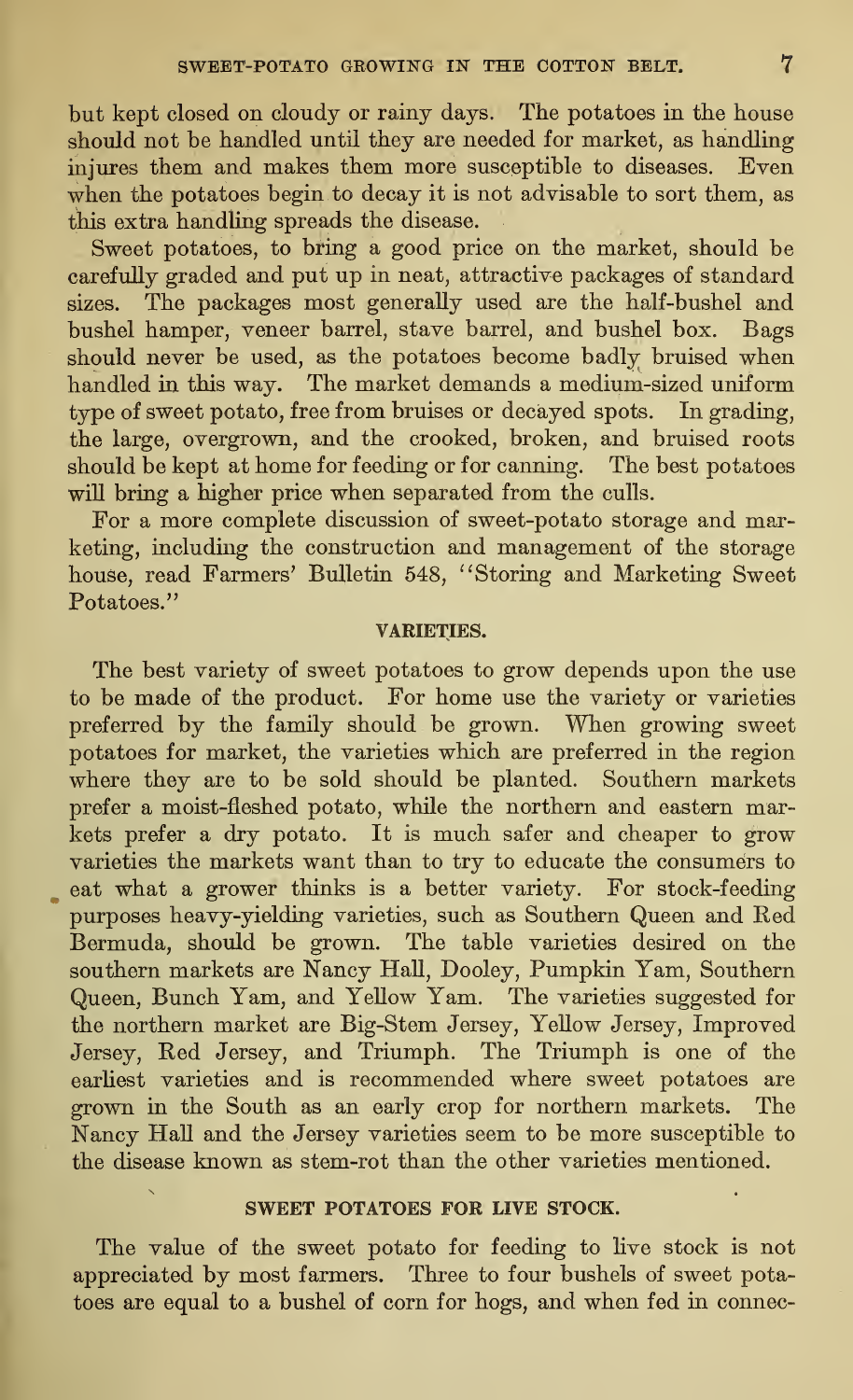but kept closed on cloudy or rainy days. The potatoes in the house should not be handled until they are needed for market, as handling injures them and makes them more susceptible to diseases. Even when the potatoes begin to decay it is not advisable to sort them, as this extra handling spreads the disease.

Sweet potatoes, to bring a good price on the market, should be carefully graded and put up in neat, attractive packages of standard sizes. The packages most generally used are the half-bushel and bushel hamper, veneer barrel, stave barrel, and bushel box. Bags should never be used, as the potatoes become badly bruised when handled in this way. The market demands a medium-sized uniform type of sweet potato, free from bruises or decayed spots. In grading, the large, overgrown, and the crooked, broken, and bruised roots should be kept at home for feeding or for canning. The best potatoes will bring a higher price when separated from the culls.

For a more complete discussion of sweet-potato storage and marketing, including the construction and management of the storage house, read Farmers' Bulletin 548, "Storing and Marketing Sweet Potatoes."

# VARIETIES.

The best variety of sweet potatoes to grow depends upon the use to be made of the product. For home use the variety or varieties preferred by the family should be grown. When growing sweet potatoes for market, the varieties which are preferred in the region where they are to be sold should be planted. Southern markets prefer a moist-fleshed potato, while the northern and eastern markets prefer a dry potato. It is much safer and cheaper to grow varieties the markets want than to try to educate the consumers to eat what a grower thinks is a better variety. For stock-feeding purposes heavy-yielding varieties, such as Southern Queen and Bed Bermuda, should be grown. The table varieties desired on the southern markets are Nancy Hall, Dooley, Pumpkin Yam, Southern Queen, Bunch Yam, and Yellow Yam. The varieties suggested for the northern market are Big-Stem Jersey, Yellow Jersey, Improved Jersey, Red Jersey, and Triumph. The Triumph is one of the earliest varieties and is recommended where sweet potatoes are grown in the South as an early crop for northern markets. The Nancy Hall and the Jersey varieties seem to be more susceptible to the disease known as stem-rot than the other varieties mentioned.

# SWEET POTATOES FOR LIVE STOCK.

The value of the sweet potato for feeding to live stock is not appreciated by most farmers. Three to four bushels of sweet potatoes are equal to a bushel of corn for hogs, and when fed in connec-